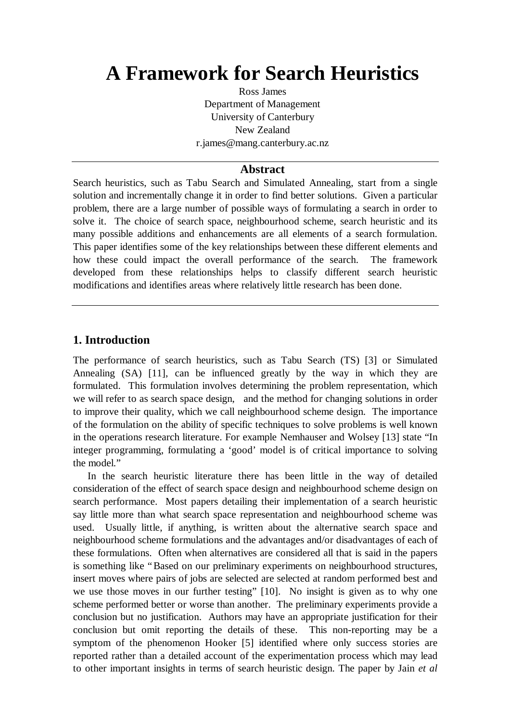# **A Framework for Search Heuristics**

Ross James Department of Management University of Canterbury New Zealand r.james@mang.canterbury.ac.nz

### **Abstract**

Search heuristics, such as Tabu Search and Simulated Annealing, start from a single solution and incrementally change it in order to find better solutions. Given a particular problem, there are a large number of possible ways of formulating a search in order to solve it. The choice of search space, neighbourhood scheme, search heuristic and its many possible additions and enhancements are all elements of a search formulation. This paper identifies some of the key relationships between these different elements and how these could impact the overall performance of the search. The framework developed from these relationships helps to classify different search heuristic modifications and identifies areas where relatively little research has been done.

# **1. Introduction**

The performance of search heuristics, such as Tabu Search (TS) [3] or Simulated Annealing (SA) [11], can be influenced greatly by the way in which they are formulated. This formulation involves determining the problem representation, which we will refer to as search space design, and the method for changing solutions in order to improve their quality, which we call neighbourhood scheme design. The importance of the formulation on the ability of specific techniques to solve problems is well known in the operations research literature. For example Nemhauser and Wolsey [13] state "In integer programming, formulating a 'good' model is of critical importance to solving the model."

In the search heuristic literature there has been little in the way of detailed consideration of the effect of search space design and neighbourhood scheme design on search performance. Most papers detailing their implementation of a search heuristic say little more than what search space representation and neighbourhood scheme was used. Usually little, if anything, is written about the alternative search space and neighbourhood scheme formulations and the advantages and/or disadvantages of each of these formulations. Often when alternatives are considered all that is said in the papers is something like "Based on our preliminary experiments on neighbourhood structures, insert moves where pairs of jobs are selected are selected at random performed best and we use those moves in our further testing" [10]. No insight is given as to why one scheme performed better or worse than another. The preliminary experiments provide a conclusion but no justification. Authors may have an appropriate justification for their conclusion but omit reporting the details of these. This non-reporting may be a symptom of the phenomenon Hooker [5] identified where only success stories are reported rather than a detailed account of the experimentation process which may lead to other important insights in terms of search heuristic design. The paper by Jain *et al*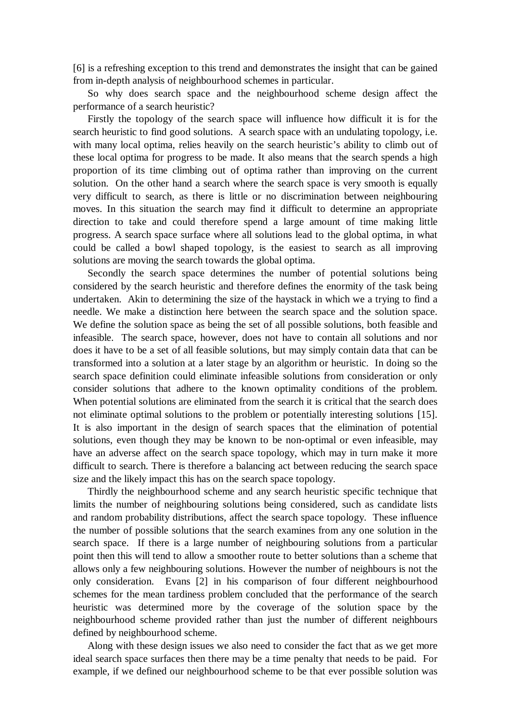[6] is a refreshing exception to this trend and demonstrates the insight that can be gained from in-depth analysis of neighbourhood schemes in particular.

So why does search space and the neighbourhood scheme design affect the performance of a search heuristic?

Firstly the topology of the search space will influence how difficult it is for the search heuristic to find good solutions. A search space with an undulating topology, i.e. with many local optima, relies heavily on the search heuristic's ability to climb out of these local optima for progress to be made. It also means that the search spends a high proportion of its time climbing out of optima rather than improving on the current solution. On the other hand a search where the search space is very smooth is equally very difficult to search, as there is little or no discrimination between neighbouring moves. In this situation the search may find it difficult to determine an appropriate direction to take and could therefore spend a large amount of time making little progress. A search space surface where all solutions lead to the global optima, in what could be called a bowl shaped topology, is the easiest to search as all improving solutions are moving the search towards the global optima.

Secondly the search space determines the number of potential solutions being considered by the search heuristic and therefore defines the enormity of the task being undertaken. Akin to determining the size of the haystack in which we a trying to find a needle. We make a distinction here between the search space and the solution space. We define the solution space as being the set of all possible solutions, both feasible and infeasible. The search space, however, does not have to contain all solutions and nor does it have to be a set of all feasible solutions, but may simply contain data that can be transformed into a solution at a later stage by an algorithm or heuristic. In doing so the search space definition could eliminate infeasible solutions from consideration or only consider solutions that adhere to the known optimality conditions of the problem. When potential solutions are eliminated from the search it is critical that the search does not eliminate optimal solutions to the problem or potentially interesting solutions [15]. It is also important in the design of search spaces that the elimination of potential solutions, even though they may be known to be non-optimal or even infeasible, may have an adverse affect on the search space topology, which may in turn make it more difficult to search. There is therefore a balancing act between reducing the search space size and the likely impact this has on the search space topology.

Thirdly the neighbourhood scheme and any search heuristic specific technique that limits the number of neighbouring solutions being considered, such as candidate lists and random probability distributions, affect the search space topology. These influence the number of possible solutions that the search examines from any one solution in the search space. If there is a large number of neighbouring solutions from a particular point then this will tend to allow a smoother route to better solutions than a scheme that allows only a few neighbouring solutions. However the number of neighbours is not the only consideration. Evans [2] in his comparison of four different neighbourhood schemes for the mean tardiness problem concluded that the performance of the search heuristic was determined more by the coverage of the solution space by the neighbourhood scheme provided rather than just the number of different neighbours defined by neighbourhood scheme.

Along with these design issues we also need to consider the fact that as we get more ideal search space surfaces then there may be a time penalty that needs to be paid. For example, if we defined our neighbourhood scheme to be that ever possible solution was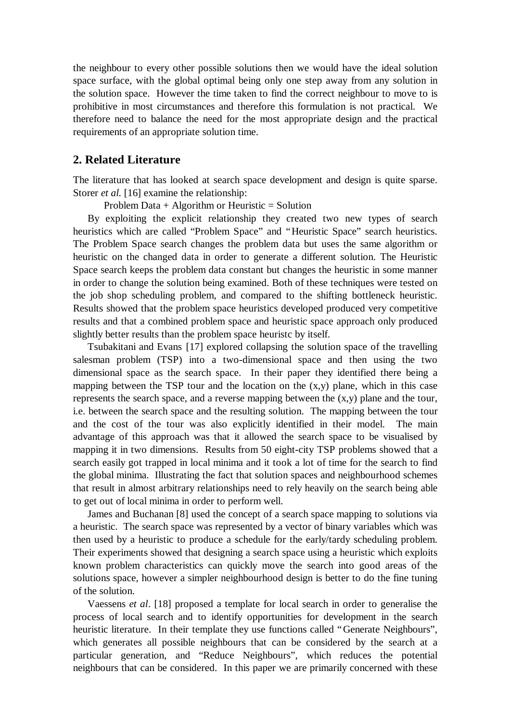the neighbour to every other possible solutions then we would have the ideal solution space surface, with the global optimal being only one step away from any solution in the solution space. However the time taken to find the correct neighbour to move to is prohibitive in most circumstances and therefore this formulation is not practical. We therefore need to balance the need for the most appropriate design and the practical requirements of an appropriate solution time.

## **2. Related Literature**

The literature that has looked at search space development and design is quite sparse. Storer *et al.* [16] examine the relationship:

Problem Data  $+$  Algorithm or Heuristic  $=$  Solution

By exploiting the explicit relationship they created two new types of search heuristics which are called "Problem Space" and "Heuristic Space" search heuristics. The Problem Space search changes the problem data but uses the same algorithm or heuristic on the changed data in order to generate a different solution. The Heuristic Space search keeps the problem data constant but changes the heuristic in some manner in order to change the solution being examined. Both of these techniques were tested on the job shop scheduling problem, and compared to the shifting bottleneck heuristic. Results showed that the problem space heuristics developed produced very competitive results and that a combined problem space and heuristic space approach only produced slightly better results than the problem space heuristc by itself.

Tsubakitani and Evans [17] explored collapsing the solution space of the travelling salesman problem (TSP) into a two-dimensional space and then using the two dimensional space as the search space. In their paper they identified there being a mapping between the TSP tour and the location on the (x,y) plane, which in this case represents the search space, and a reverse mapping between the  $(x,y)$  plane and the tour, i.e. between the search space and the resulting solution. The mapping between the tour and the cost of the tour was also explicitly identified in their model. The main advantage of this approach was that it allowed the search space to be visualised by mapping it in two dimensions. Results from 50 eight-city TSP problems showed that a search easily got trapped in local minima and it took a lot of time for the search to find the global minima. Illustrating the fact that solution spaces and neighbourhood schemes that result in almost arbitrary relationships need to rely heavily on the search being able to get out of local minima in order to perform well.

James and Buchanan [8] used the concept of a search space mapping to solutions via a heuristic. The search space was represented by a vector of binary variables which was then used by a heuristic to produce a schedule for the early/tardy scheduling problem. Their experiments showed that designing a search space using a heuristic which exploits known problem characteristics can quickly move the search into good areas of the solutions space, however a simpler neighbourhood design is better to do the fine tuning of the solution.

Vaessens *et al*. [18] proposed a template for local search in order to generalise the process of local search and to identify opportunities for development in the search heuristic literature. In their template they use functions called "Generate Neighbours", which generates all possible neighbours that can be considered by the search at a particular generation, and "Reduce Neighbours", which reduces the potential neighbours that can be considered. In this paper we are primarily concerned with these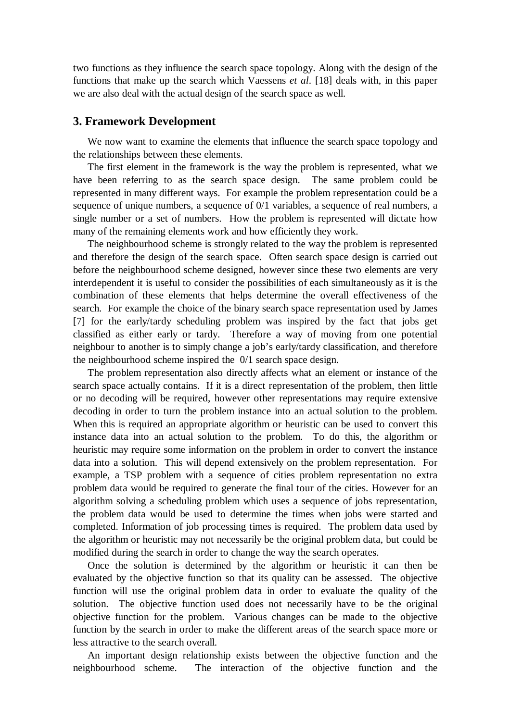two functions as they influence the search space topology. Along with the design of the functions that make up the search which Vaessens *et al*. [18] deals with, in this paper we are also deal with the actual design of the search space as well.

#### **3. Framework Development**

We now want to examine the elements that influence the search space topology and the relationships between these elements.

The first element in the framework is the way the problem is represented, what we have been referring to as the search space design. The same problem could be represented in many different ways. For example the problem representation could be a sequence of unique numbers, a sequence of 0/1 variables, a sequence of real numbers, a single number or a set of numbers. How the problem is represented will dictate how many of the remaining elements work and how efficiently they work.

The neighbourhood scheme is strongly related to the way the problem is represented and therefore the design of the search space. Often search space design is carried out before the neighbourhood scheme designed, however since these two elements are very interdependent it is useful to consider the possibilities of each simultaneously as it is the combination of these elements that helps determine the overall effectiveness of the search. For example the choice of the binary search space representation used by James [7] for the early/tardy scheduling problem was inspired by the fact that jobs get classified as either early or tardy. Therefore a way of moving from one potential neighbour to another is to simply change a job's early/tardy classification, and therefore the neighbourhood scheme inspired the 0/1 search space design.

The problem representation also directly affects what an element or instance of the search space actually contains. If it is a direct representation of the problem, then little or no decoding will be required, however other representations may require extensive decoding in order to turn the problem instance into an actual solution to the problem. When this is required an appropriate algorithm or heuristic can be used to convert this instance data into an actual solution to the problem. To do this, the algorithm or heuristic may require some information on the problem in order to convert the instance data into a solution. This will depend extensively on the problem representation. For example, a TSP problem with a sequence of cities problem representation no extra problem data would be required to generate the final tour of the cities. However for an algorithm solving a scheduling problem which uses a sequence of jobs representation, the problem data would be used to determine the times when jobs were started and completed. Information of job processing times is required. The problem data used by the algorithm or heuristic may not necessarily be the original problem data, but could be modified during the search in order to change the way the search operates.

Once the solution is determined by the algorithm or heuristic it can then be evaluated by the objective function so that its quality can be assessed. The objective function will use the original problem data in order to evaluate the quality of the solution. The objective function used does not necessarily have to be the original objective function for the problem. Various changes can be made to the objective function by the search in order to make the different areas of the search space more or less attractive to the search overall.

An important design relationship exists between the objective function and the neighbourhood scheme. The interaction of the objective function and the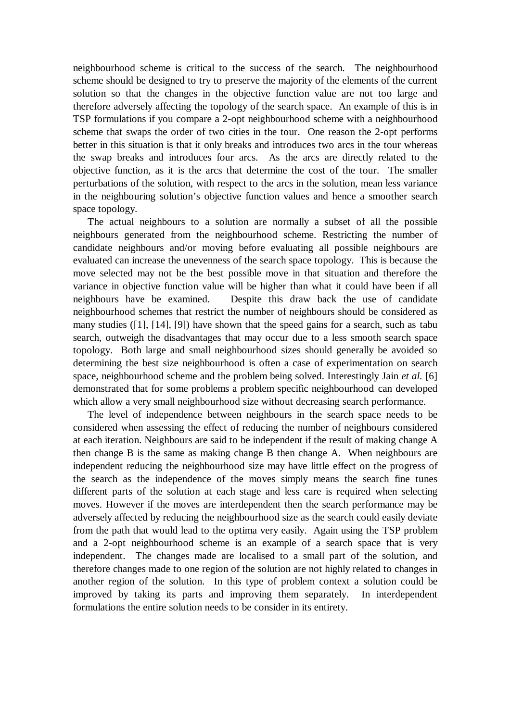neighbourhood scheme is critical to the success of the search. The neighbourhood scheme should be designed to try to preserve the majority of the elements of the current solution so that the changes in the objective function value are not too large and therefore adversely affecting the topology of the search space. An example of this is in TSP formulations if you compare a 2-opt neighbourhood scheme with a neighbourhood scheme that swaps the order of two cities in the tour. One reason the 2-opt performs better in this situation is that it only breaks and introduces two arcs in the tour whereas the swap breaks and introduces four arcs. As the arcs are directly related to the objective function, as it is the arcs that determine the cost of the tour. The smaller perturbations of the solution, with respect to the arcs in the solution, mean less variance in the neighbouring solution's objective function values and hence a smoother search space topology.

The actual neighbours to a solution are normally a subset of all the possible neighbours generated from the neighbourhood scheme. Restricting the number of candidate neighbours and/or moving before evaluating all possible neighbours are evaluated can increase the unevenness of the search space topology. This is because the move selected may not be the best possible move in that situation and therefore the variance in objective function value will be higher than what it could have been if all neighbours have be examined. Despite this draw back the use of candidate neighbourhood schemes that restrict the number of neighbours should be considered as many studies ([1], [14], [9]) have shown that the speed gains for a search, such as tabu search, outweigh the disadvantages that may occur due to a less smooth search space topology. Both large and small neighbourhood sizes should generally be avoided so determining the best size neighbourhood is often a case of experimentation on search space, neighbourhood scheme and the problem being solved. Interestingly Jain *et al.* [6] demonstrated that for some problems a problem specific neighbourhood can developed which allow a very small neighbourhood size without decreasing search performance.

The level of independence between neighbours in the search space needs to be considered when assessing the effect of reducing the number of neighbours considered at each iteration. Neighbours are said to be independent if the result of making change A then change B is the same as making change B then change A. When neighbours are independent reducing the neighbourhood size may have little effect on the progress of the search as the independence of the moves simply means the search fine tunes different parts of the solution at each stage and less care is required when selecting moves. However if the moves are interdependent then the search performance may be adversely affected by reducing the neighbourhood size as the search could easily deviate from the path that would lead to the optima very easily. Again using the TSP problem and a 2-opt neighbourhood scheme is an example of a search space that is very independent. The changes made are localised to a small part of the solution, and therefore changes made to one region of the solution are not highly related to changes in another region of the solution. In this type of problem context a solution could be improved by taking its parts and improving them separately. In interdependent formulations the entire solution needs to be consider in its entirety.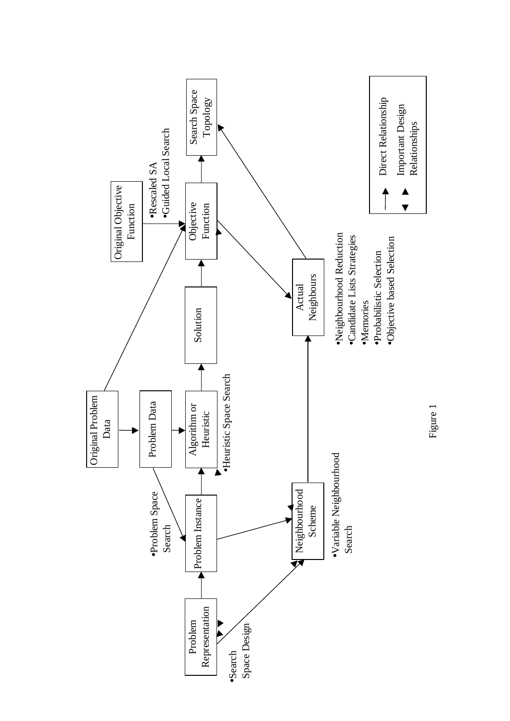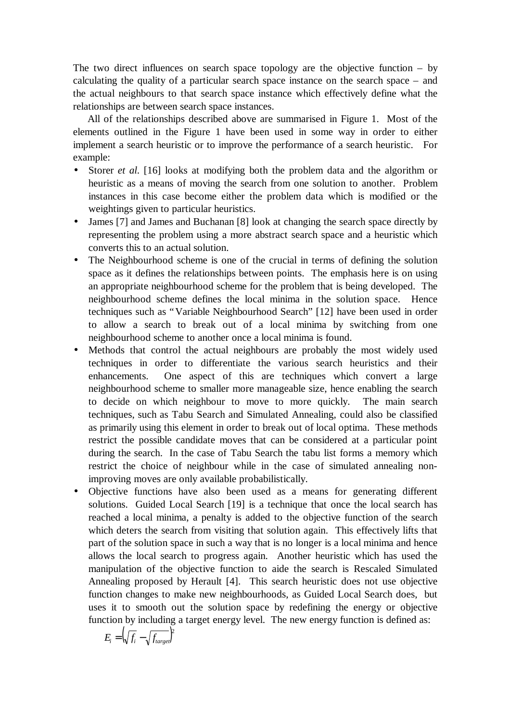The two direct influences on search space topology are the objective function  $-$  by calculating the quality of a particular search space instance on the search space – and the actual neighbours to that search space instance which effectively define what the relationships are between search space instances.

All of the relationships described above are summarised in Figure 1. Most of the elements outlined in the Figure 1 have been used in some way in order to either implement a search heuristic or to improve the performance of a search heuristic. For example:

- Storer *et al.* [16] looks at modifying both the problem data and the algorithm or heuristic as a means of moving the search from one solution to another. Problem instances in this case become either the problem data which is modified or the weightings given to particular heuristics.
- James [7] and James and Buchanan [8] look at changing the search space directly by representing the problem using a more abstract search space and a heuristic which converts this to an actual solution.
- The Neighbourhood scheme is one of the crucial in terms of defining the solution space as it defines the relationships between points. The emphasis here is on using an appropriate neighbourhood scheme for the problem that is being developed. The neighbourhood scheme defines the local minima in the solution space. Hence techniques such as "Variable Neighbourhood Search" [12] have been used in order to allow a search to break out of a local minima by switching from one neighbourhood scheme to another once a local minima is found.
- Methods that control the actual neighbours are probably the most widely used techniques in order to differentiate the various search heuristics and their enhancements. One aspect of this are techniques which convert a large neighbourhood scheme to smaller more manageable size, hence enabling the search to decide on which neighbour to move to more quickly. The main search techniques, such as Tabu Search and Simulated Annealing, could also be classified as primarily using this element in order to break out of local optima. These methods restrict the possible candidate moves that can be considered at a particular point during the search. In the case of Tabu Search the tabu list forms a memory which restrict the choice of neighbour while in the case of simulated annealing nonimproving moves are only available probabilistically.
- Objective functions have also been used as a means for generating different solutions. Guided Local Search [19] is a technique that once the local search has reached a local minima, a penalty is added to the objective function of the search which deters the search from visiting that solution again. This effectively lifts that part of the solution space in such a way that is no longer is a local minima and hence allows the local search to progress again. Another heuristic which has used the manipulation of the objective function to aide the search is Rescaled Simulated Annealing proposed by Herault [4]. This search heuristic does not use objective function changes to make new neighbourhoods, as Guided Local Search does, but uses it to smooth out the solution space by redefining the energy or objective function by including a target energy level. The new energy function is defined as:

$$
E_i = \left(\sqrt{f_i} - \sqrt{f_{target}}\right)^2
$$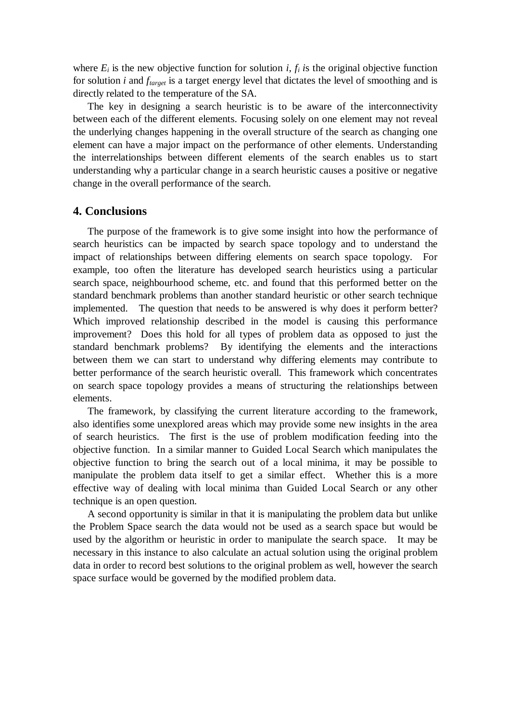where  $E_i$  is the new objective function for solution  $i, f_i$  is the original objective function for solution *i* and *ftarget* is a target energy level that dictates the level of smoothing and is directly related to the temperature of the SA.

The key in designing a search heuristic is to be aware of the interconnectivity between each of the different elements. Focusing solely on one element may not reveal the underlying changes happening in the overall structure of the search as changing one element can have a major impact on the performance of other elements. Understanding the interrelationships between different elements of the search enables us to start understanding why a particular change in a search heuristic causes a positive or negative change in the overall performance of the search.

#### **4. Conclusions**

The purpose of the framework is to give some insight into how the performance of search heuristics can be impacted by search space topology and to understand the impact of relationships between differing elements on search space topology. For example, too often the literature has developed search heuristics using a particular search space, neighbourhood scheme, etc. and found that this performed better on the standard benchmark problems than another standard heuristic or other search technique implemented. The question that needs to be answered is why does it perform better? Which improved relationship described in the model is causing this performance improvement? Does this hold for all types of problem data as opposed to just the standard benchmark problems? By identifying the elements and the interactions between them we can start to understand why differing elements may contribute to better performance of the search heuristic overall. This framework which concentrates on search space topology provides a means of structuring the relationships between elements.

The framework, by classifying the current literature according to the framework, also identifies some unexplored areas which may provide some new insights in the area of search heuristics. The first is the use of problem modification feeding into the objective function. In a similar manner to Guided Local Search which manipulates the objective function to bring the search out of a local minima, it may be possible to manipulate the problem data itself to get a similar effect. Whether this is a more effective way of dealing with local minima than Guided Local Search or any other technique is an open question.

A second opportunity is similar in that it is manipulating the problem data but unlike the Problem Space search the data would not be used as a search space but would be used by the algorithm or heuristic in order to manipulate the search space. It may be necessary in this instance to also calculate an actual solution using the original problem data in order to record best solutions to the original problem as well, however the search space surface would be governed by the modified problem data.